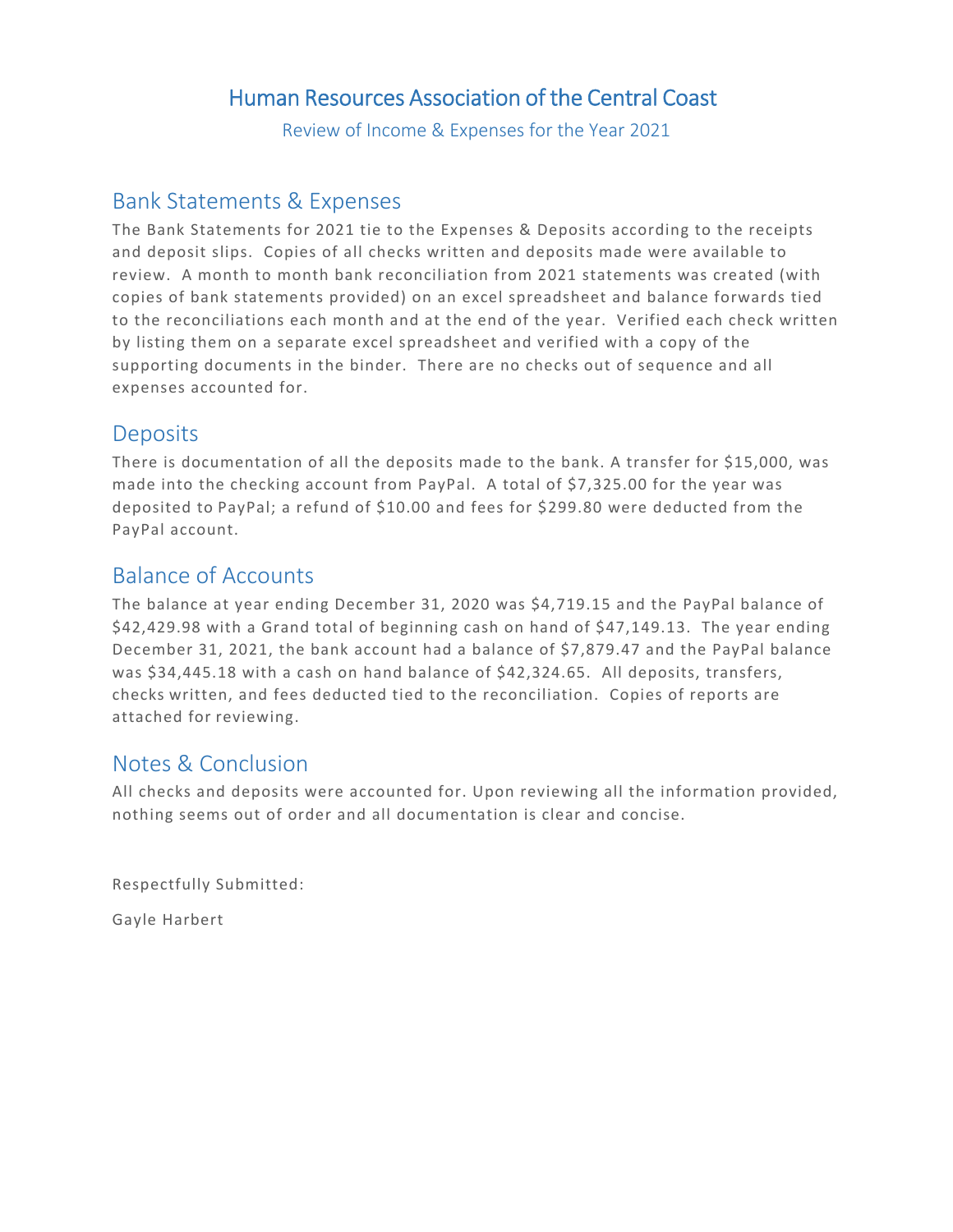## Human Resources Association of the Central Coast

Review of Income & Expenses for the Year 2021

#### Bank Statements & Expenses

The Bank Statements for 2021 tie to the Expenses & Deposits according to the receipts and deposit slips. Copies of all checks written and deposits made were available to review. A month to month bank reconciliation from 2021 statements was created (with copies of bank statements provided) on an excel spreadsheet and balance forwards tied to the reconciliations each month and at the end of the year. Verified each check written by listing them on a separate excel spreadsheet and verified with a copy of the supporting documents in the binder. There are no checks out of sequence and all expenses accounted for.

#### **Deposits**

There is documentation of all the deposits made to the bank. A transfer for \$15,000, was made into the checking account from PayPal. A total of \$7,325.00 for the year was deposited to PayPal; a refund of \$10.00 and fees for \$299.80 were deducted from the PayPal account.

### Balance of Accounts

The balance at year ending December 31, 2020 was \$4,719.15 and the PayPal balance of \$42,429.98 with a Grand total of beginning cash on hand of \$47,149.13. The year ending December 31, 2021, the bank account had a balance of \$7,879.47 and the PayPal balance was \$34,445.18 with a cash on hand balance of \$42,324.65. All deposits, transfers, checks written, and fees deducted tied to the reconciliation. Copies of reports are attached for reviewing.

#### Notes & Conclusion

All checks and deposits were accounted for. Upon reviewing all the information provided, nothing seems out of order and all documentation is clear and concise.

Respectfully Submitted:

Gayle Harbert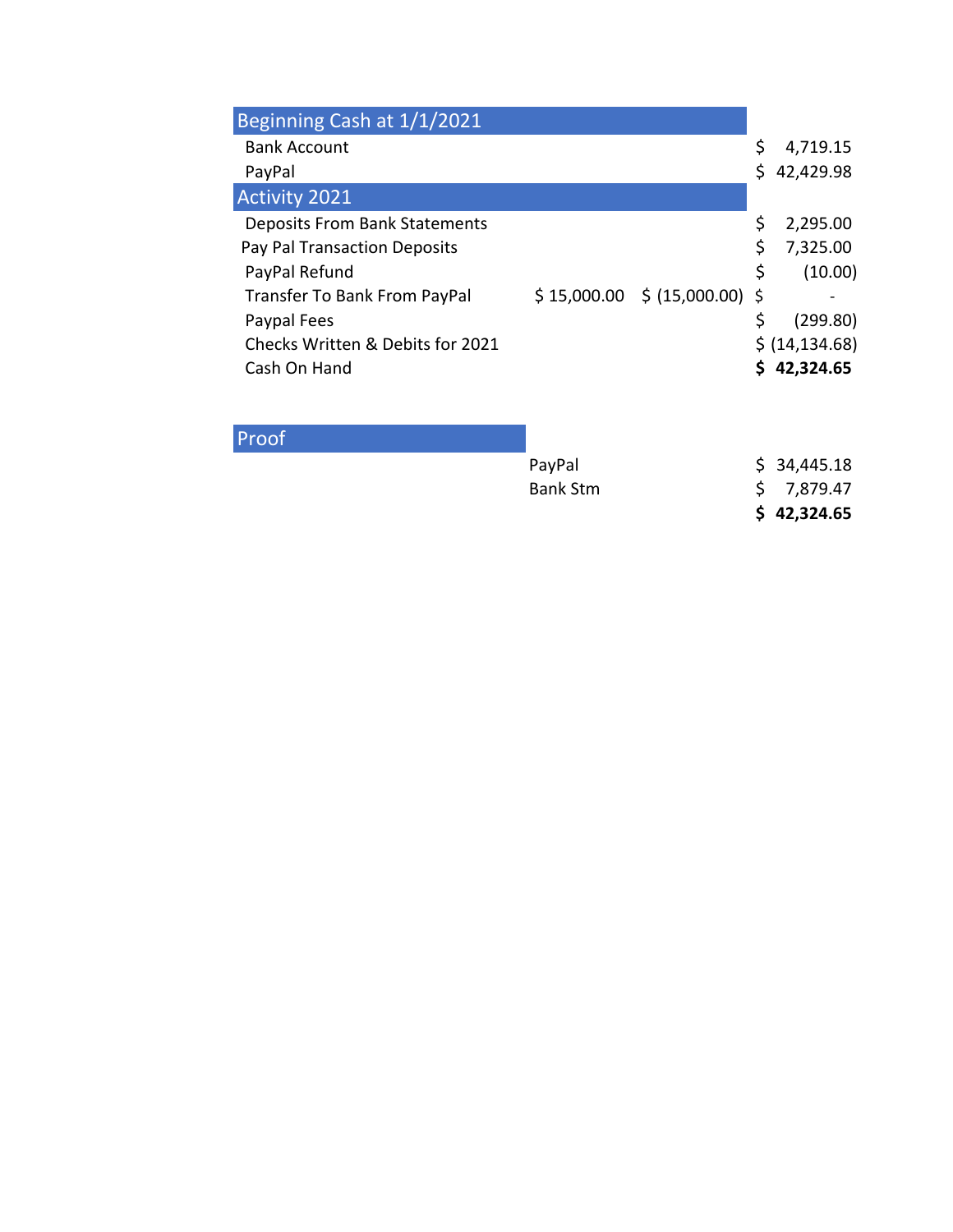| Beginning Cash at 1/1/2021           |                                 |    |                 |
|--------------------------------------|---------------------------------|----|-----------------|
| <b>Bank Account</b>                  |                                 |    | 4,719.15        |
| PayPal                               |                                 | Ś. | 42,429.98       |
| <b>Activity 2021</b>                 |                                 |    |                 |
| <b>Deposits From Bank Statements</b> |                                 |    | 2,295.00        |
| Pay Pal Transaction Deposits         |                                 |    | 7,325.00        |
| PayPal Refund                        |                                 | \$ | (10.00)         |
| <b>Transfer To Bank From PayPal</b>  | $$15,000.00$$ \$ (15,000.00) \$ |    |                 |
| Paypal Fees                          |                                 |    | (299.80)        |
| Checks Written & Debits for 2021     |                                 |    | \$ (14, 134.68) |
| Cash On Hand                         |                                 |    | 42,324.65       |

## Proof

|                 | \$42,324.65 |
|-----------------|-------------|
| <b>Bank Stm</b> | \$7,879.47  |
| PayPal          | \$34,445.18 |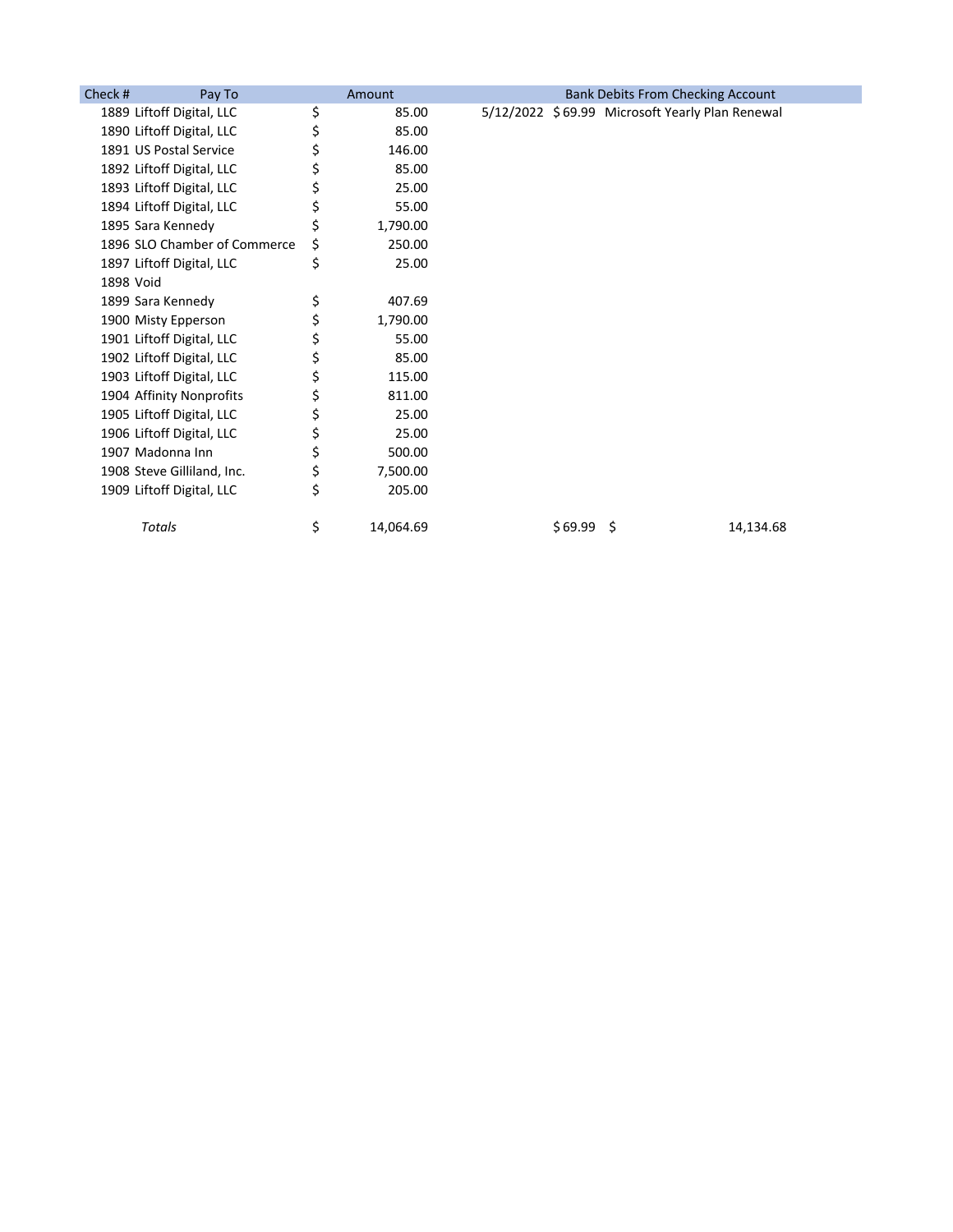| Check #   | Pay To                       | Amount          |         | <b>Bank Debits From Checking Account</b>        |           |
|-----------|------------------------------|-----------------|---------|-------------------------------------------------|-----------|
|           | 1889 Liftoff Digital, LLC    | \$<br>85.00     |         | 5/12/2022 \$69.99 Microsoft Yearly Plan Renewal |           |
|           | 1890 Liftoff Digital, LLC    | \$<br>85.00     |         |                                                 |           |
|           | 1891 US Postal Service       | \$<br>146.00    |         |                                                 |           |
|           | 1892 Liftoff Digital, LLC    | \$<br>85.00     |         |                                                 |           |
|           | 1893 Liftoff Digital, LLC    | \$<br>25.00     |         |                                                 |           |
|           | 1894 Liftoff Digital, LLC    | \$<br>55.00     |         |                                                 |           |
|           | 1895 Sara Kennedy            | \$<br>1,790.00  |         |                                                 |           |
|           | 1896 SLO Chamber of Commerce | \$<br>250.00    |         |                                                 |           |
|           | 1897 Liftoff Digital, LLC    | \$<br>25.00     |         |                                                 |           |
| 1898 Void |                              |                 |         |                                                 |           |
|           | 1899 Sara Kennedy            | \$<br>407.69    |         |                                                 |           |
|           | 1900 Misty Epperson          | \$<br>1,790.00  |         |                                                 |           |
|           | 1901 Liftoff Digital, LLC    | 55.00           |         |                                                 |           |
|           | 1902 Liftoff Digital, LLC    | \$<br>85.00     |         |                                                 |           |
|           | 1903 Liftoff Digital, LLC    | \$<br>115.00    |         |                                                 |           |
|           | 1904 Affinity Nonprofits     | \$<br>811.00    |         |                                                 |           |
|           | 1905 Liftoff Digital, LLC    | \$<br>25.00     |         |                                                 |           |
|           | 1906 Liftoff Digital, LLC    | \$<br>25.00     |         |                                                 |           |
|           | 1907 Madonna Inn             | \$<br>500.00    |         |                                                 |           |
|           | 1908 Steve Gilliland, Inc.   | \$<br>7,500.00  |         |                                                 |           |
|           | 1909 Liftoff Digital, LLC    | \$<br>205.00    |         |                                                 |           |
|           | Totals                       | \$<br>14,064.69 | \$69.99 | -Ś                                              | 14,134.68 |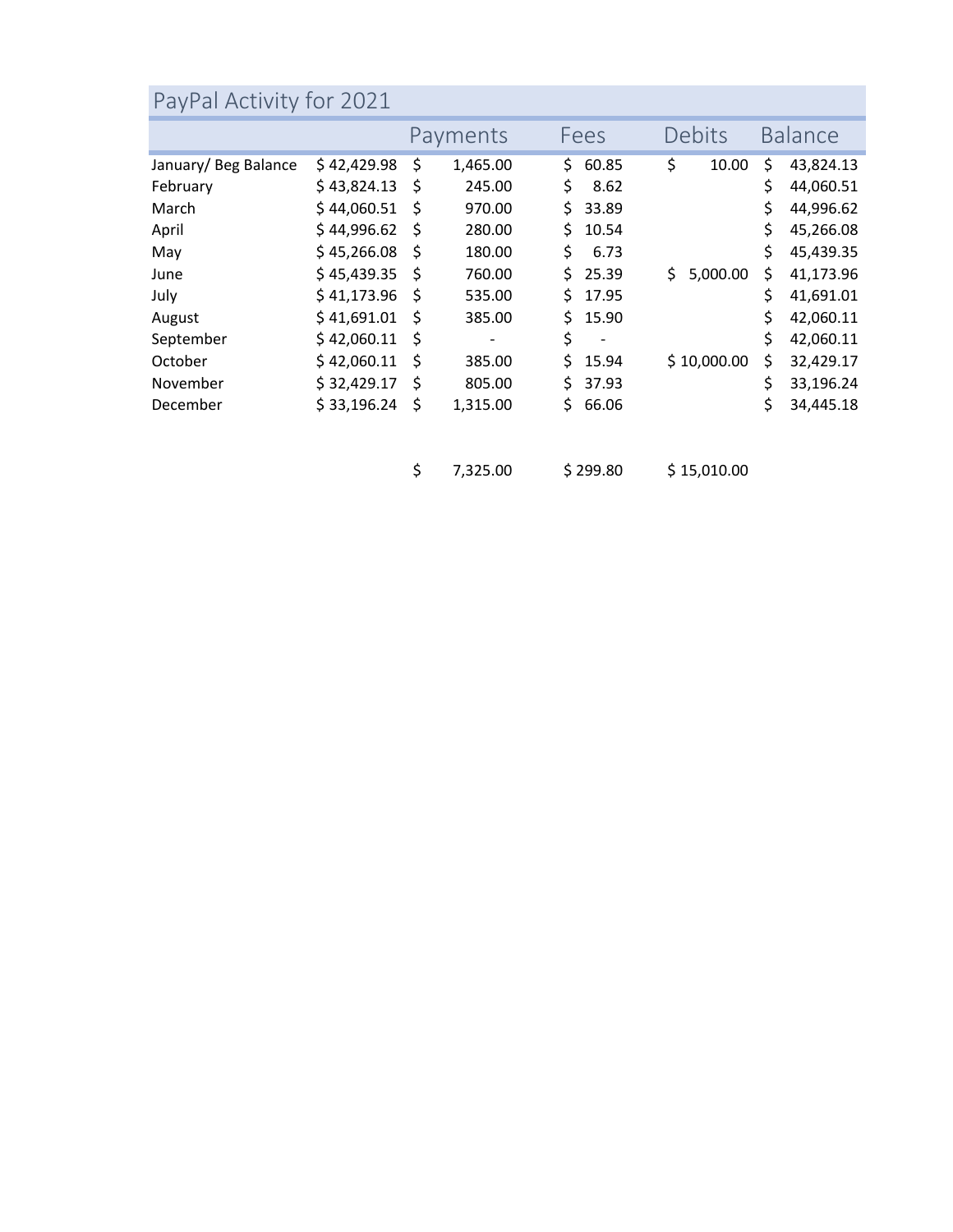# PayPal Activity for 2021

|                      |             |     | Payments |     | Fees                     |    | Debits      |    | <b>Balance</b> |
|----------------------|-------------|-----|----------|-----|--------------------------|----|-------------|----|----------------|
| January/ Beg Balance | \$42,429.98 | \$  | 1,465.00 | Ś.  | 60.85                    | \$ | 10.00       | \$ | 43,824.13      |
| February             | \$43,824.13 | Ŝ   | 245.00   | \$  | 8.62                     |    |             | \$ | 44,060.51      |
| March                | \$44,060.51 | -\$ | 970.00   | \$  | 33.89                    |    |             | Ś  | 44,996.62      |
| April                | \$44,996.62 | \$  | 280.00   | Ś.  | 10.54                    |    |             | Ś  | 45,266.08      |
| May                  | \$45,266.08 | -\$ | 180.00   | \$  | 6.73                     |    |             | Ś  | 45,439.35      |
| June                 | \$45,439.35 | -\$ | 760.00   | \$  | 25.39                    | Ś. | 5,000.00    | Ś  | 41,173.96      |
| July                 | \$41,173.96 | \$  | 535.00   | \$. | 17.95                    |    |             | \$ | 41,691.01      |
| August               | \$41,691.01 | -\$ | 385.00   | Ś.  | 15.90                    |    |             | Ś  | 42,060.11      |
| September            | \$42,060.11 | -\$ | -        | \$  | $\overline{\phantom{a}}$ |    |             | \$ | 42,060.11      |
| October              | \$42,060.11 | -\$ | 385.00   | Ś.  | 15.94                    |    | \$10,000.00 | \$ | 32,429.17      |
| November             | \$32,429.17 | Ś   | 805.00   | Ś.  | 37.93                    |    |             | Ś  | 33,196.24      |
| December             | \$33,196.24 | \$  | 1,315.00 | Ś.  | 66.06                    |    |             | \$ | 34,445.18      |

 $$7,325.00$   $$299.80$   $$15,010.00$